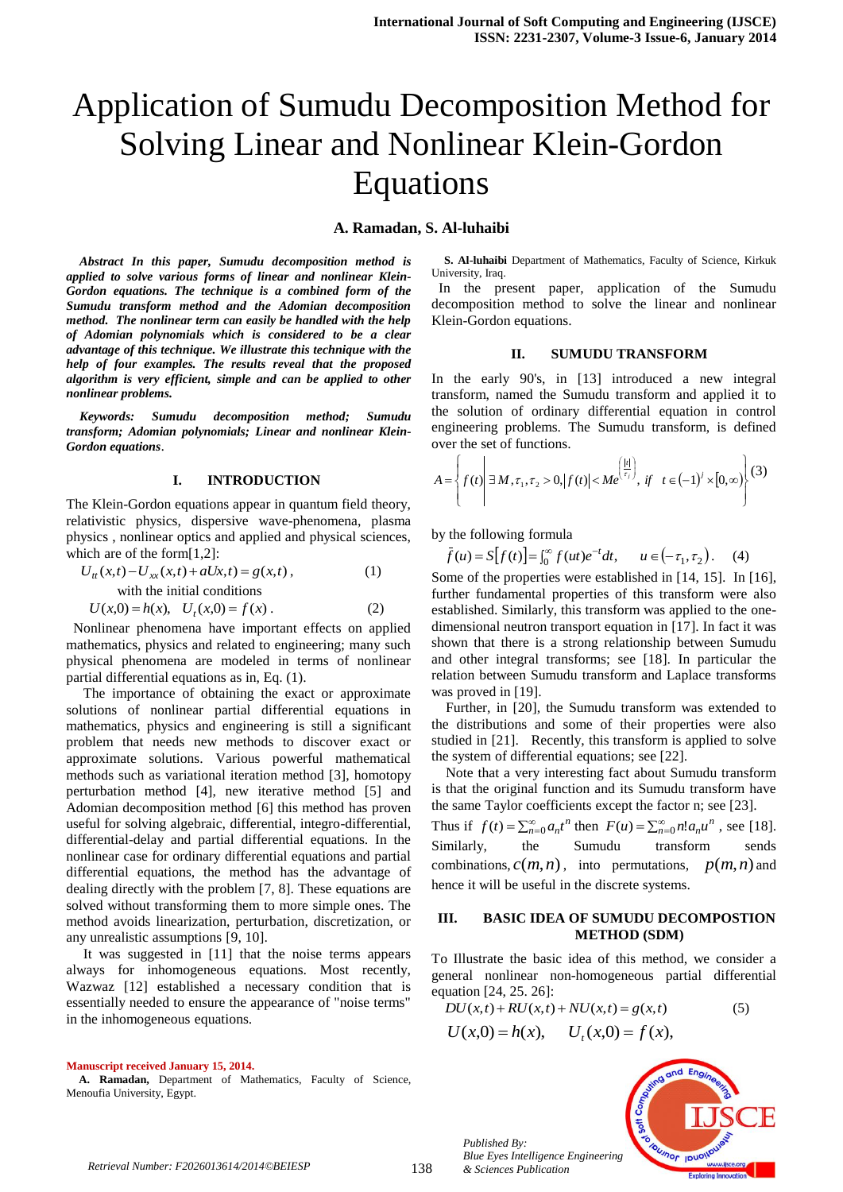# Application of Sumudu Decomposition Method for Solving Linear and Nonlinear Klein-Gordon Equations

# **A. Ramadan, S. Al-luhaibi**

*Abstract In this paper, Sumudu decomposition method is applied to solve various forms of linear and nonlinear Klein-Gordon equations. The technique is a combined form of the Sumudu transform method and the Adomian decomposition method. The nonlinear term can easily be handled with the help of Adomian polynomials which is considered to be a clear advantage of this technique. We illustrate this technique with the help of four examples. The results reveal that the proposed algorithm is very efficient, simple and can be applied to other nonlinear problems.*

*Keywords: Sumudu decomposition method; Sumudu transform; Adomian polynomials; Linear and nonlinear Klein-Gordon equations*.

#### **I. INTRODUCTION**

The Klein-Gordon equations appear in quantum field theory, relativistic physics, dispersive wave-phenomena, plasma physics , nonlinear optics and applied and physical sciences, which are of the form[1,2]:

$$
U_{tt}(x,t) - U_{xx}(x,t) + aUx, t) = g(x,t),
$$
  
\nwith the initial conditions  
\n
$$
U(x,0) = h(x), \quad U_t(x,0) = f(x).
$$
\n(2)

 Nonlinear phenomena have important effects on applied mathematics, physics and related to engineering; many such physical phenomena are modeled in terms of nonlinear partial differential equations as in, Eq. (1).

The importance of obtaining the exact or approximate solutions of nonlinear partial differential equations in mathematics, physics and engineering is still a significant problem that needs new methods to discover exact or approximate solutions. Various powerful mathematical methods such as variational iteration method [3], homotopy perturbation method [4], new iterative method [5] and Adomian decomposition method [6] this method has proven useful for solving algebraic, differential, integro-differential, differential-delay and partial differential equations. In the nonlinear case for ordinary differential equations and partial differential equations, the method has the advantage of dealing directly with the problem [7, 8]. These equations are solved without transforming them to more simple ones. The method avoids linearization, perturbation, discretization, or any unrealistic assumptions [9, 10].

It was suggested in [11] that the noise terms appears always for inhomogeneous equations. Most recently, Wazwaz [12] established a necessary condition that is essentially needed to ensure the appearance of "noise terms" in the inhomogeneous equations.

**Manuscript received January 15, 2014.**

**A. Ramadan,** Department of Mathematics, Faculty of Science, Menoufia University, Egypt.

**S. Al-luhaibi** Department of Mathematics, Faculty of Science, Kirkuk University, Iraq.

 In the present paper, application of the Sumudu decomposition method to solve the linear and nonlinear Klein-Gordon equations.

#### **II. SUMUDU TRANSFORM**

In the early 90's, in [13] introduced a new integral transform, named the Sumudu transform and applied it to the solution of ordinary differential equation in control engineering problems. The Sumudu transform, is defined over the set of functions.

$$
A = \left\{ f(t) \middle| \exists M, \tau_1, \tau_2 > 0, |f(t)| < Me^{(\frac{|t|}{\tau_j})}, \text{ if } t \in (-1)^j \times [0, \infty) \right\} (3)
$$

by the following formula

$$
\bar{f}(u) = S[f(t)] = \int_0^{\infty} f(ut)e^{-t}dt, \qquad u \in (-\tau_1, \tau_2). \tag{4}
$$

Some of the properties were established in [14, 15]. In [16], further fundamental properties of this transform were also established. Similarly, this transform was applied to the onedimensional neutron transport equation in [17]. In fact it was shown that there is a strong relationship between Sumudu and other integral transforms; see [18]. In particular the relation between Sumudu transform and Laplace transforms was proved in [19].

 Further, in [20], the Sumudu transform was extended to the distributions and some of their properties were also studied in [21]. Recently, this transform is applied to solve the system of differential equations; see [22].

 Note that a very interesting fact about Sumudu transform is that the original function and its Sumudu transform have the same Taylor coefficients except the factor n; see [23].

Thus if  $f(t) = \sum_{n=0}^{\infty} a_n t^n$  then  $F(u) = \sum_{n=0}^{\infty} n! a_n u^n$ , see [18]. Similarly, the Sumudu transform sends combinations,  $c(m, n)$ , into permutations,  $p(m, n)$  and hence it will be useful in the discrete systems.

#### **III. BASIC IDEA OF SUMUDU DECOMPOSTION METHOD (SDM)**

To Illustrate the basic idea of this method, we consider a general nonlinear non-homogeneous partial differential equation [24, 25. 26]:

$$
DU(x,t) + RU(x,t) + NU(x,t) = g(x,t)
$$
\n<sup>(5)</sup>

$$
U(x,0) = h(x), \quad U_t(x,0) = f(x),
$$



*Published By: Blue Eyes Intelligence Engineering & Sciences Publication*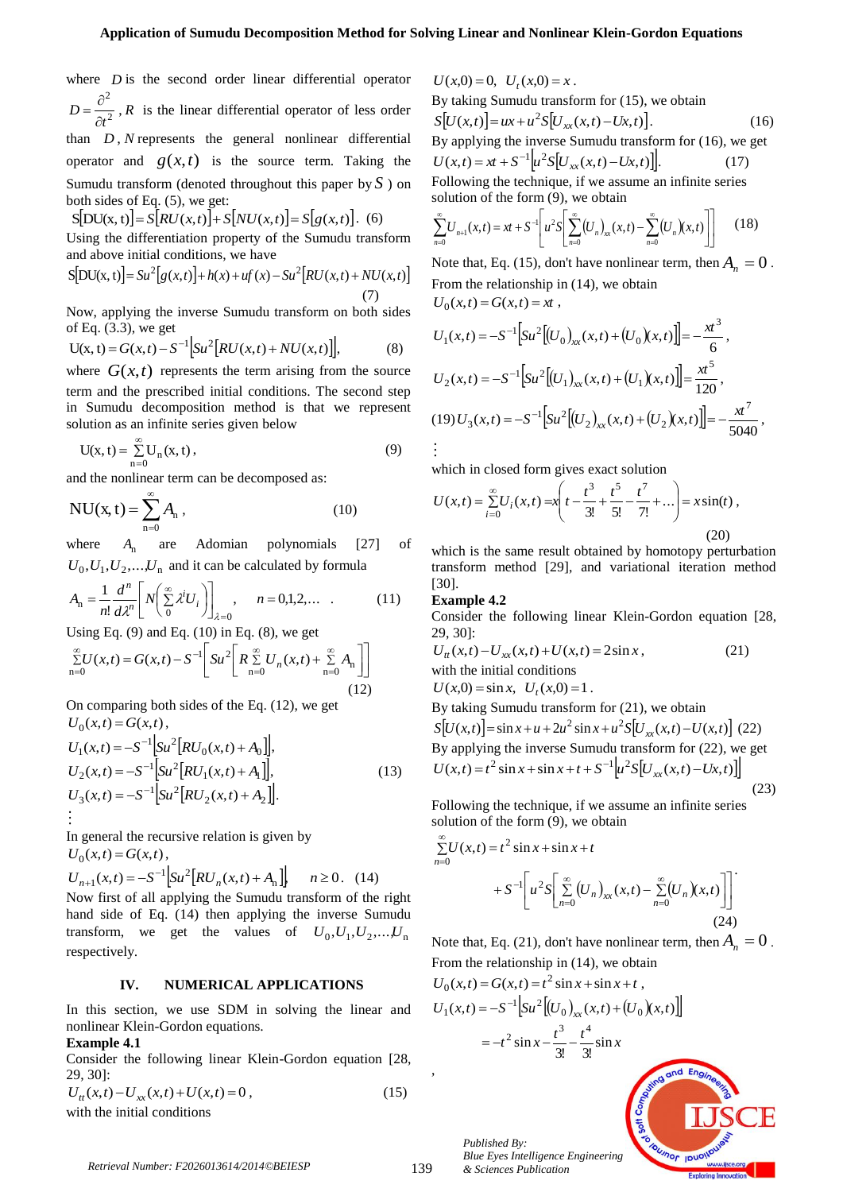where  $D$  is the second order linear differential operator 2 2 *t D*  $\partial$  $=\frac{\partial^2}{\partial x^2}$ , *R* is the linear differential operator of less order than  $D$ ,  $N$  represents the general nonlinear differential operator and  $g(x,t)$  is the source term. Taking the Sumudu transform (denoted throughout this paper by *S* ) on both sides of Eq. (5), we get: where *D* is the second order linear differential operator *U x*  $U_x(x) = \frac{X}{2}$ ,  $W_x$  is  $X = \frac{1}{2}$   $W_x$  is  $X = \frac{1}{2}$   $W_x$  is  $W_x$   $\approx 2$   $W_x$   $\approx 2$   $W_y$   $\approx 2$   $W_y$   $\approx 2$   $W_y$   $\approx 2$   $W_y$   $\approx 2$   $W_y$   $\approx 2$   $W_y$ 

 $S[DU(x, t)] = S[RU(x, t)] + S[NU(x, t)] = S[g(x, t)].$  (6)

Using the differentiation property of the Sumudu transform and above initial conditions, we have

$$
S[DU(x, t)] = Su^{2}[g(x, t)] + h(x) + uf'(x) - Su^{2}[RU(x, t) + NU(x, t)]
$$
\n(7)

Now, applying the inverse Sumudu transform on both sides of Eq. (3.3), we get

$$
U(x, t) = G(x, t) - S^{-1} \Big[ Su^2 \Big[ RU(x, t) + NU(x, t) \Big] \Big],
$$
 (8)

where  $G(x,t)$  represents the term arising from the source term and the prescribed initial conditions. The second step in Sumudu decomposition method is that we represent solution as an infinite series given below

$$
U(x, t) = \sum_{n=0}^{\infty} U_n(x, t),
$$
\n(9)

and the nonlinear term can be decomposed as:

$$
NU(x, t) = \sum_{n=0}^{\infty} A_n ,
$$
 (10)

where *A*n are Adomian polynomials [27] of  $U_0$ ,  $U_1$ ,  $U_2$ ,...,  $U_n$  and it can be calculated by formula

$$
A_n = \frac{1}{n!} \frac{d^n}{d\lambda^n} \left[ N \left( \sum_{i=0}^{\infty} \lambda^i U_i \right) \right]_{\lambda=0}, \quad n = 0, 1, 2, \dots \quad . \tag{11}
$$

Using Eq.  $(9)$  and Eq.  $(10)$  in Eq.  $(8)$ , we get

$$
\sum_{n=0}^{\infty} U(x,t) = G(x,t) - S^{-1} \left[ S u^2 \left[ R \sum_{n=0}^{\infty} U_n(x,t) + \sum_{n=0}^{\infty} A_n \right] \right]
$$
\n(12)

On comparing both sides of the Eq. (12), we get  $U_0(x,t) = G(x,t)$ ,

$$
U_1(x,t) = -S^{-1} \Big[ Su^2 \Big[ RU_0(x,t) + A_0 \Big] \Big],
$$
  
\n
$$
U_2(x,t) = -S^{-1} \Big[ Su^2 \Big[ RU_1(x,t) + A_1 \Big] \Big],
$$
  
\n
$$
U_3(x,t) = -S^{-1} \Big[ Su^2 \Big[ RU_2(x,t) + A_2 \Big] \Big].
$$
  
\n
$$
\vdots
$$
 (13)

In general the recursive relation is given by  $U_0(x,t) = G(x,t)$ ,

$$
U_{n+1}(x,t) = -S^{-1} \Big[ Su^2 \Big[ RU_n(x,t) + A_n \Big] \Big\}, \quad n \ge 0. \tag{14}
$$
  
Now first of all applying the Sumudu transform of the right

hand side of Eq. (14) then applying the inverse Sumudu transform, we get the values of  $U_0, U_1, U_2, \ldots, U_n$ respectively.

# **IV. NUMERICAL APPLICATIONS**

In this section, we use SDM in solving the linear and nonlinear Klein-Gordon equations.

## **Example 4.1**

Consider the following linear Klein-Gordon equation [28, 29, 30]:

$$
U_{tt}(x,t) - U_{xx}(x,t) + U(x,t) = 0,
$$
  
with the initial conditions (15)

 $f_t(x,0) = x$ .

By taking Sumudu transform for (15), we obtain  $S[U(x,t)] = ux + u^2 S[U_{xx}(x,t) - Ux, t)].$  (16) By applying the inverse Sumudu transform for (16), we get  $U(x,t) = xt + S^{-1} \left[ u^2 S \left[ U_{xx}(x,t) - U x, t \right] \right].$  $(17)$ Following the technique, if we assume an infinite series solution of the form (9), we obtain

$$
\sum_{n=0}^{\infty} U_{n+1}(x,t) = xt + S^{-1} \left[ u^2 S \left[ \sum_{n=0}^{\infty} (U_n)_{xx}(x,t) - \sum_{n=0}^{\infty} (U_n) (x,t) \right] \right]
$$
(18)

Note that, Eq. (15), don't have nonlinear term, then  $A_n = 0$ . From the relationship in (14), we obtain  $U_0(x,t) = G(x,t) = xt,$ 

$$
U_1(x,t) = -S^{-1} \Big[ Su^2 \Big[ (U_0)_{xx}(x,t) + (U_0)(x,t) \Big] \Big] = -\frac{x^3}{6},
$$
  
\n
$$
U_2(x,t) = -S^{-1} \Big[ Su^2 \Big[ (U_1)_{xx}(x,t) + (U_1)(x,t) \Big] \Big] = \frac{x^5}{120},
$$
  
\n
$$
(19) U_3(x,t) = -S^{-1} \Big[ Su^2 \Big[ (U_2)_{xx}(x,t) + (U_2)(x,t) \Big] \Big] = -\frac{x^7}{5040},
$$
  
\n
$$
\vdots
$$

which in closed form gives exact solution

$$
U(x,t) = \sum_{i=0}^{\infty} U_i(x,t) = x \left( t - \frac{t^3}{3!} + \frac{t^5}{5!} - \frac{t^7}{7!} + \dots \right) = x \sin(t),
$$
\n(20)

which is the same result obtained by homotopy perturbation transform method [29], and variational iteration method [30].

#### **Example 4.2**

Consider the following linear Klein-Gordon equation [28, 29, 30]:

$$
U_{tt}(x,t) - U_{xx}(x,t) + U(x,t) = 2\sin x, \tag{21}
$$
  
with the initial conditions

 $U(x,0) = \sin x, \ \ U_t(x,0) = 1.$ 

By taking Sumudu transform for (21), we obtain  
\n
$$
S[U(x,t)] = \sin x + u + 2u^2 \sin x + u^2 S[U_{xx}(x,t) - U(x,t)]
$$
\n(22)  
\nBy applying the inverse Sumudu transform for (22), we get  
\n
$$
U(x,t) = t^2 \sin x + \sin x + t + S^{-1}[u^2 S[U_{xx}(x,t) - Ux,t)]
$$
\n(23)

Following the technique, if we assume an infinite series solution of the form (9), we obtain

$$
\sum_{n=0}^{\infty} U(x,t) = t^2 \sin x + \sin x + t
$$
  
+  $S^{-1} \left[ u^2 S \left[ \sum_{n=0}^{\infty} (U_n)_{xx}(x,t) - \sum_{n=0}^{\infty} (U_n) (x,t) \right] \right]$   
(24)

Note that, Eq. (21), don't have nonlinear term, then  $A_n = 0$ . From the relationship in (14), we obtain

$$
U_0(x,t) = G(x,t) = t^2 \sin x + \sin x + t,
$$
  
\n
$$
U_1(x,t) = -S^{-1} \Big[ Su^2 \Big[ (U_0)_{xx}(x,t) + (U_0)(x,t) \Big] \Big]
$$
  
\n
$$
= -t^2 \sin x - \frac{t^3}{3!} - \frac{t^4}{3!} \sin x
$$

*Published By: Blue Eyes Intelligence Engineering & Sciences Publication* 

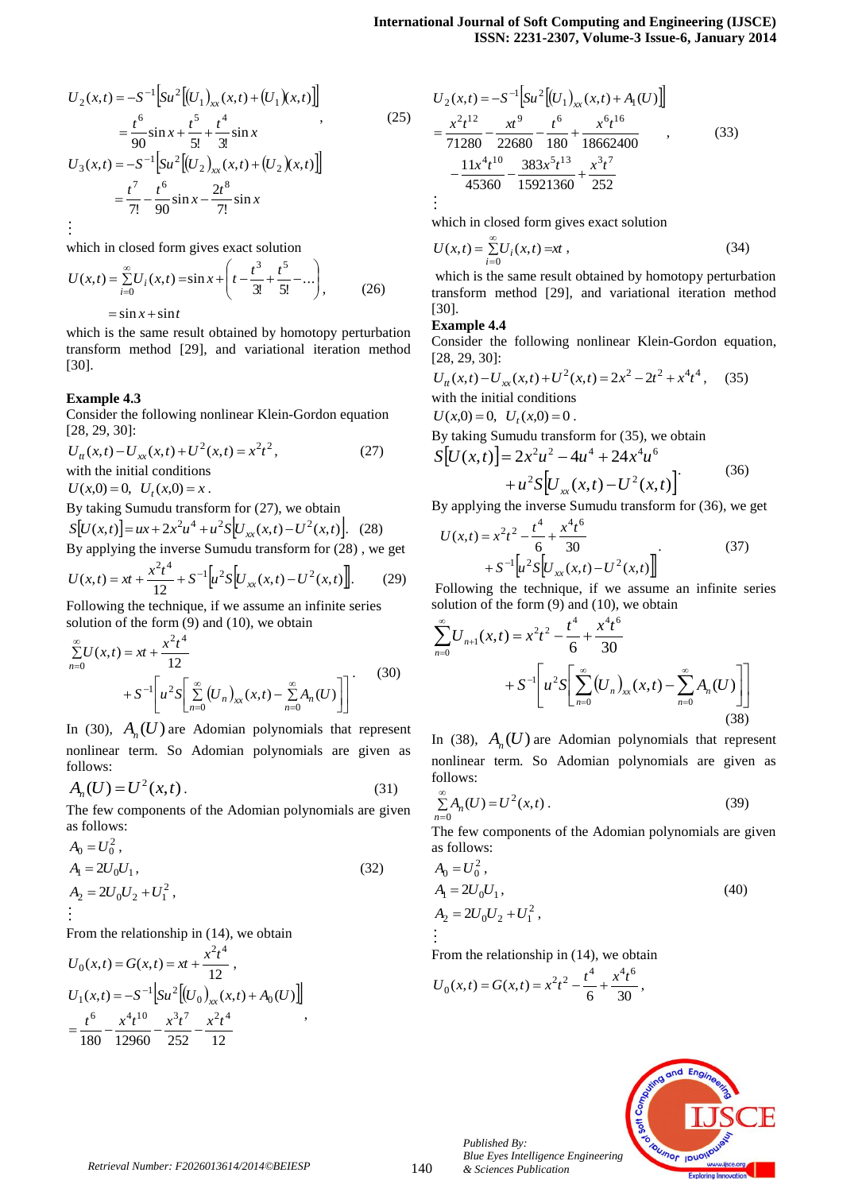$$
U_2(x,t) = -S^{-1} \Big[ Su^2 \Big[ (U_1)_{xx}(x,t) + (U_1)(x,t) \Big] \Big]
$$
  
\n
$$
= \frac{t^6}{90} \sin x + \frac{t^5}{5!} + \frac{t^4}{3!} \sin x
$$
  
\n
$$
U_3(x,t) = -S^{-1} \Big[ Su^2 \Big[ (U_2)_{xx}(x,t) + (U_2)(x,t) \Big] \Big]
$$
  
\n
$$
= \frac{t^7}{7!} - \frac{t^6}{90} \sin x - \frac{2t^8}{7!} \sin x
$$
 (25)

 $\vdots$ 

which in closed form gives exact solution

$$
U(x,t) = \sum_{i=0}^{\infty} U_i(x,t) = \sin x + \left( t - \frac{t^3}{3!} + \frac{t^5}{5!} - \dots \right),
$$
 (26)  
=  $\sin x + \sin t$ 

which is the same result obtained by homotopy perturbation transform method [29], and variational iteration method [30].

# **Example 4.3**

Consider the following nonlinear Klein-Gordon equation [28, 29, 30]:

$$
U_{tt}(x,t) - U_{xx}(x,t) + U^2(x,t) = x^2t^2,
$$
\nwith the initial conditions

 $U(x,0) = 0, \quad U_t(x,0) = x.$ 

By taking Sumudu transform for (27), we obtain  $S[U(x,t)] = ux + 2x^2u^4 + u^2S[U_{xx}(x,t) - U^2(x,t)].$  (28)

By applying the inverse Sumudu transform for (28) , we get

$$
U(x,t) = xt + \frac{x^2t^4}{12} + S^{-1} \left[ u^2 S \left[ U_{xx}(x,t) - U^2(x,t) \right] \right].
$$
 (29)

Following the technique, if we assume an infinite series solution of the form (9) and (10), we obtain

$$
\sum_{n=0}^{\infty} U(x,t) = xt + \frac{x^2 t^4}{12} + S^{-1} \left[ u^2 S \left[ \sum_{n=0}^{\infty} (U_n)_{xx}(x,t) - \sum_{n=0}^{\infty} A_n(U) \right] \right].
$$
 (30)

In (30),  $A_n(U)$  are Adomian polynomials that represent nonlinear term. So Adomian polynomials are given as follows:

$$
A_n(U) = U^2(x, t).
$$
 (31)

The few components of the Adomian polynomials are given as follows:

$$
A_0 = U_0^2,
$$
  
\n
$$
A_1 = 2U_0U_1,
$$
  
\n
$$
A_2 = 2U_0U_2 + U_1^2,
$$
\n(32)  
\n
$$
\vdots
$$

From the relationship in (14), we obtain

$$
U_0(x,t) = G(x,t) = xt + \frac{x^2t^4}{12},
$$
  
\n
$$
U_1(x,t) = -S^{-1} \Big[ Su^2 \Big[ (U_0)_{xx}(x,t) + A_0(U) \Big] \Big]
$$
  
\n
$$
= \frac{t^6}{180} - \frac{x^4t^{10}}{12960} - \frac{x^3t^7}{252} - \frac{x^2t^4}{12}
$$

$$
U_2(x,t) = -S^{-1} \left[ Su^2 \left[ (U_1)_{xx}(x,t) + A_1(U) \right] \right]
$$
  
=  $\frac{x^2 t^{12}}{71280} - \frac{x^9}{22680} - \frac{t^6}{180} + \frac{x^6 t^{16}}{18662400}$ , (33)  
 $-\frac{11x^4 t^{10}}{45360} - \frac{383x^5 t^{13}}{15921360} + \frac{x^3 t^7}{252}$ 

which in closed form gives exact solution

$$
U(x,t) = \sum_{i=0}^{\infty} U_i(x,t) = xt,
$$
\n(34)

which is the same result obtained by homotopy perturbation transform method [29], and variational iteration method [30].

## **Example 4.4**

Consider the following nonlinear Klein-Gordon equation, [28, 29, 30]:

$$
U_{tt}(x,t) - U_{xx}(x,t) + U^2(x,t) = 2x^2 - 2t^2 + x^4t^4, \quad (35)
$$
  
with the initial conditions  

$$
U(x,0) = 0, U_t(x,0) = 0.
$$

By taking Sumudu transform for (35), we obtain

$$
S[U(x,t)] = 2x2u2 - 4u4 + 24x4u6 + u2S[Uxx(x,t) - U2(x,t)]
$$
 (36)

By applying the inverse Sumudu transform for (36), we get

$$
U(x,t) = x^{2}t^{2} - \frac{t^{4}}{6} + \frac{x^{4}t^{6}}{30}
$$
  
+  $S^{-1} \left[ u^{2}S \left[ U_{xx}(x,t) - U^{2}(x,t) \right] \right]$  (37)

Following the technique, if we assume an infinite series solution of the form (9) and (10), we obtain

$$
\sum_{n=0}^{\infty} U_{n+1}(x,t) = x^2 t^2 - \frac{t^4}{6} + \frac{x^4 t^6}{30}
$$
  
+  $S^{-1} \left[ u^2 S \left[ \sum_{n=0}^{\infty} (U_n)_{xx}(x,t) - \sum_{n=0}^{\infty} A_n (U) \right] \right]$  (38)

In (38),  $A_n(U)$  are Adomian polynomials that represent nonlinear term. So Adomian polynomials are given as follows:

$$
\sum_{n=0}^{\infty} A_n(U) = U^2(x, t).
$$
 (39)

The few components of the Adomian polynomials are given as follows:

$$
A_0 = U_0^2, A_1 = 2U_0U_1, A_2 = 2U_0U_2 + U_1^2, \n\vdots
$$
\n(40)

From the relationship in (14), we obtain

$$
U_0(x,t) = G(x,t) = x^2t^2 - \frac{t^4}{6} + \frac{x^4t^6}{30},
$$

*Published By:*

*& Sciences Publication*